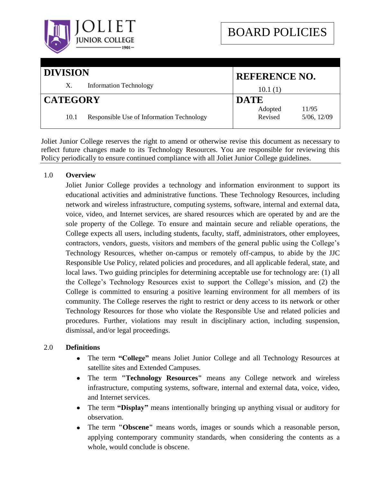

| <b>DIVISION</b> |                                           | <b>REFERENCE NO.</b> |                      |
|-----------------|-------------------------------------------|----------------------|----------------------|
| Χ.              | <b>Information Technology</b>             | 10.1(1)              |                      |
| <b>CATEGORY</b> |                                           | <b>DATE</b>          |                      |
| 10.1            | Responsible Use of Information Technology | Adopted<br>Revised   | 11/95<br>5/06, 12/09 |

Joliet Junior College reserves the right to amend or otherwise revise this document as necessary to reflect future changes made to its Technology Resources. You are responsible for reviewing this Policy periodically to ensure continued compliance with all Joliet Junior College guidelines.

# 1.0 **Overview**

Joliet Junior College provides a technology and information environment to support its educational activities and administrative functions. These Technology Resources, including network and wireless infrastructure, computing systems, software, internal and external data, voice, video, and Internet services, are shared resources which are operated by and are the sole property of the College. To ensure and maintain secure and reliable operations, the College expects all users, including students, faculty, staff, administrators, other employees, contractors, vendors, guests, visitors and members of the general public using the College"s Technology Resources, whether on-campus or remotely off-campus, to abide by the JJC Responsible Use Policy, related policies and procedures, and all applicable federal, state, and local laws. Two guiding principles for determining acceptable use for technology are: (1) all the College"s Technology Resources exist to support the College"s mission, and (2) the College is committed to ensuring a positive learning environment for all members of its community. The College reserves the right to restrict or deny access to its network or other Technology Resources for those who violate the Responsible Use and related policies and procedures. Further, violations may result in disciplinary action, including suspension, dismissal, and/or legal proceedings.

# 2.0 **Definitions**

- The term **"College"** means Joliet Junior College and all Technology Resources at satellite sites and Extended Campuses.
- $\bullet$ The term **"Technology Resources"** means any College network and wireless infrastructure, computing systems, software, internal and external data, voice, video, and Internet services.
- The term **"Display"** means intentionally bringing up anything visual or auditory for observation.
- The term **"Obscene"** means words, images or sounds which a reasonable person,  $\bullet$ applying contemporary community standards, when considering the contents as a whole, would conclude is obscene.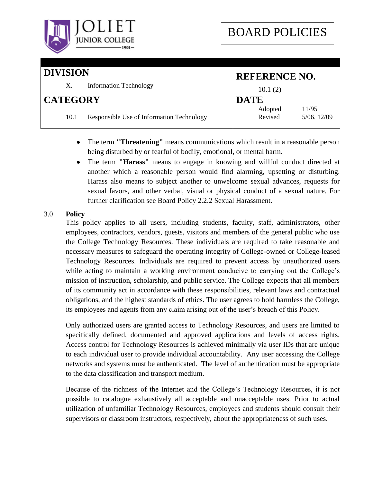

| <b>DIVISION</b> |                                           | <b>REFERENCE NO.</b> |                      |
|-----------------|-------------------------------------------|----------------------|----------------------|
| Χ.              | <b>Information Technology</b>             | 10.1(2)              |                      |
| <b>CATEGORY</b> |                                           | <b>DATE</b>          |                      |
| 10.1            | Responsible Use of Information Technology | Adopted<br>Revised   | 11/95<br>5/06, 12/09 |

- The term **"Threatening"** means communications which result in a reasonable person  $\bullet$ being disturbed by or fearful of bodily, emotional, or mental harm.
- The term **"Harass"** means to engage in knowing and willful conduct directed at  $\bullet$ another which a reasonable person would find alarming, upsetting or disturbing. Harass also means to subject another to unwelcome sexual advances, requests for sexual favors, and other verbal, visual or physical conduct of a sexual nature. For further clarification see Board Policy 2.2.2 Sexual Harassment.

# 3.0 **Policy**

This policy applies to all users, including students, faculty, staff, administrators, other employees, contractors, vendors, guests, visitors and members of the general public who use the College Technology Resources. These individuals are required to take reasonable and necessary measures to safeguard the operating integrity of College-owned or College-leased Technology Resources. Individuals are required to prevent access by unauthorized users while acting to maintain a working environment conducive to carrying out the College's mission of instruction, scholarship, and public service. The College expects that all members of its community act in accordance with these responsibilities, relevant laws and contractual obligations, and the highest standards of ethics. The user agrees to hold harmless the College, its employees and agents from any claim arising out of the user"s breach of this Policy.

Only authorized users are granted access to Technology Resources, and users are limited to specifically defined, documented and approved applications and levels of access rights. Access control for Technology Resources is achieved minimally via user IDs that are unique to each individual user to provide individual accountability. Any user accessing the College networks and systems must be authenticated. The level of authentication must be appropriate to the data classification and transport medium.

Because of the richness of the Internet and the College"s Technology Resources, it is not possible to catalogue exhaustively all acceptable and unacceptable uses. Prior to actual utilization of unfamiliar Technology Resources, employees and students should consult their supervisors or classroom instructors, respectively, about the appropriateness of such uses.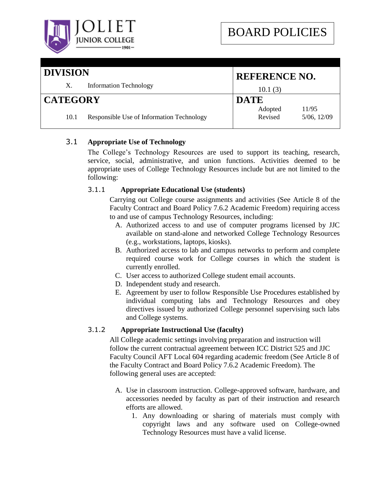

| <b>DIVISION</b> |                                           | <b>REFERENCE NO.</b> |                      |
|-----------------|-------------------------------------------|----------------------|----------------------|
| X.              | <b>Information Technology</b>             | 10.1(3)              |                      |
| <b>CATEGORY</b> |                                           | <b>DATE</b>          |                      |
| 10.1            | Responsible Use of Information Technology | Adopted<br>Revised   | 11/95<br>5/06, 12/09 |

# 3.1 **Appropriate Use of Technology**

The College"s Technology Resources are used to support its teaching, research, service, social, administrative, and union functions. Activities deemed to be appropriate uses of College Technology Resources include but are not limited to the following:

# 3.1.1 **Appropriate Educational Use (students)**

Carrying out College course assignments and activities (See Article 8 of the Faculty Contract and Board Policy 7.6.2 Academic Freedom) requiring access to and use of campus Technology Resources, including:

- A. Authorized access to and use of computer programs licensed by JJC available on stand-alone and networked College Technology Resources (e.g., workstations, laptops, kiosks).
- B. Authorized access to lab and campus networks to perform and complete required course work for College courses in which the student is currently enrolled.
- C. User access to authorized College student email accounts.
- D. Independent study and research.
- E. Agreement by user to follow Responsible Use Procedures established by individual computing labs and Technology Resources and obey directives issued by authorized College personnel supervising such labs and College systems.

# 3.1.2 **Appropriate Instructional Use (faculty)**

All College academic settings involving preparation and instruction will follow the current contractual agreement between ICC District 525 and JJC Faculty Council AFT Local 604 regarding academic freedom (See Article 8 of the Faculty Contract and Board Policy 7.6.2 Academic Freedom). The following general uses are accepted:

- A. Use in classroom instruction. College-approved software, hardware, and accessories needed by faculty as part of their instruction and research efforts are allowed.
	- 1. Any downloading or sharing of materials must comply with copyright laws and any software used on College-owned Technology Resources must have a valid license.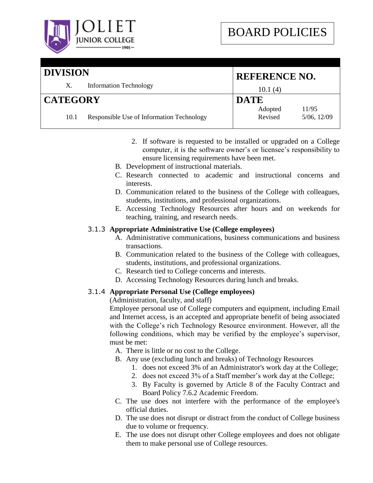

### **DIVISION** X. Information Technology **REFERENCE NO.** 10.1 (4) **CATEGORY** 10.1 Responsible Use of Information Technology **DATE** Adopted 11/95 Revised 5/06, 12/09

- 2. If software is requested to be installed or upgraded on a College computer, it is the software owner"s or licensee"s responsibility to ensure licensing requirements have been met.
- B. Development of instructional materials.
- C. Research connected to academic and instructional concerns and interests.
- D. Communication related to the business of the College with colleagues, students, institutions, and professional organizations.
- E. Accessing Technology Resources after hours and on weekends for teaching, training, and research needs.

# 3.1.3 **Appropriate Administrative Use (College employees)**

- A. Administrative communications, business communications and business transactions.
- B. Communication related to the business of the College with colleagues, students, institutions, and professional organizations.
- C. Research tied to College concerns and interests.
- D. Accessing Technology Resources during lunch and breaks.

# 3.1.4 **Appropriate Personal Use (College employees)**

(Administration, faculty, and staff)

Employee personal use of College computers and equipment, including Email and Internet access, is an accepted and appropriate benefit of being associated with the College's rich Technology Resource environment. However, all the following conditions, which may be verified by the employee's supervisor, must be met:

A. There is little or no cost to the College.

- B. Any use (excluding lunch and breaks) of Technology Resources
	- 1. does not exceed 3% of an Administrator's work day at the College;
	- 2. does not exceed 3% of a Staff member"s work day at the College;
	- 3. By Faculty is governed by Article 8 of the Faculty Contract and Board Policy 7.6.2 Academic Freedom.
- C. The use does not interfere with the performance of the employee's official duties.
- D. The use does not disrupt or distract from the conduct of College business due to volume or frequency.
- E. The use does not disrupt other College employees and does not obligate them to make personal use of College resources.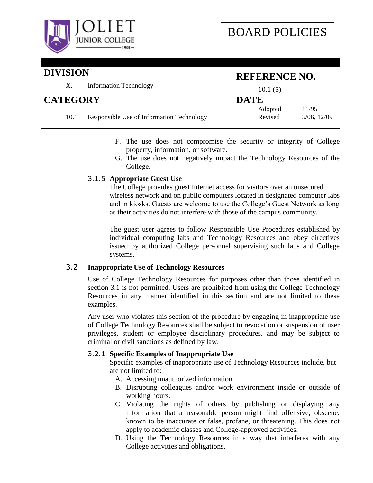

| <b>DIVISION</b> |                                           | <b>REFERENCE NO.</b> |                      |
|-----------------|-------------------------------------------|----------------------|----------------------|
| Х.              | <b>Information Technology</b>             | 10.1(5)              |                      |
| <b>CATEGORY</b> |                                           | <b>DATE</b>          |                      |
| 10.1            | Responsible Use of Information Technology | Adopted<br>Revised   | 11/95<br>5/06, 12/09 |

- F. The use does not compromise the security or integrity of College property, information, or software.
- G. The use does not negatively impact the Technology Resources of the College.

# 3.1.5 **Appropriate Guest Use**

The College provides guest Internet access for visitors over an unsecured wireless network and on public computers located in designated computer labs and in kiosks. Guests are welcome to use the College"s Guest Network as long as their activities do not interfere with those of the campus community.

The guest user agrees to follow Responsible Use Procedures established by individual computing labs and Technology Resources and obey directives issued by authorized College personnel supervising such labs and College systems.

# 3.2 **Inappropriate Use of Technology Resources**

Use of College Technology Resources for purposes other than those identified in section 3.1 is not permitted. Users are prohibited from using the College Technology Resources in any manner identified in this section and are not limited to these examples.

Any user who violates this section of the procedure by engaging in inappropriate use of College Technology Resources shall be subject to revocation or suspension of user privileges, student or employee disciplinary procedures, and may be subject to criminal or civil sanctions as defined by law.

# 3.2.1 **Specific Examples of Inappropriate Use**

Specific examples of inappropriate use of Technology Resources include, but are not limited to:

- A. Accessing unauthorized information.
- B. Disrupting colleagues and/or work environment inside or outside of working hours.
- C. Violating the rights of others by publishing or displaying any information that a reasonable person might find offensive, obscene, known to be inaccurate or false, profane, or threatening. This does not apply to academic classes and College-approved activities.
- D. Using the Technology Resources in a way that interferes with any College activities and obligations.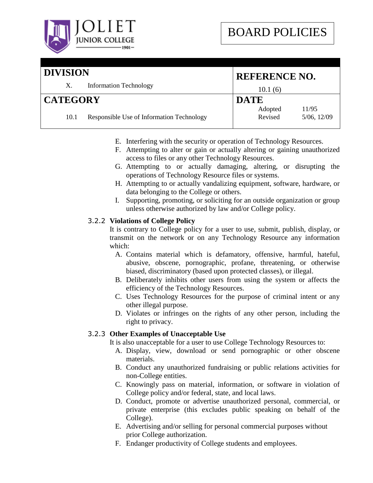

**REFERENCE NO.**

10.1 (6)

**DATE**

# **DIVISION** X. Information Technology

# **CATEGORY**

#### 10.1 Responsible Use of Information Technology Adopted 11/95 Revised 5/06, 12/09

- E. Interfering with the security or operation of Technology Resources.
- F. Attempting to alter or gain or actually altering or gaining unauthorized access to files or any other Technology Resources.
- G. Attempting to or actually damaging, altering, or disrupting the operations of Technology Resource files or systems.
- H. Attempting to or actually vandalizing equipment, software, hardware, or data belonging to the College or others.
- I. Supporting, promoting, or soliciting for an outside organization or group unless otherwise authorized by law and/or College policy.

# 3.2.2 **Violations of College Policy**

It is contrary to College policy for a user to use, submit, publish, display, or transmit on the network or on any Technology Resource any information which:

- A. Contains material which is defamatory, offensive, harmful, hateful, abusive, obscene, pornographic, profane, threatening, or otherwise biased, discriminatory (based upon protected classes), or illegal.
- B. Deliberately inhibits other users from using the system or affects the efficiency of the Technology Resources.
- C. Uses Technology Resources for the purpose of criminal intent or any other illegal purpose.
- D. Violates or infringes on the rights of any other person, including the right to privacy.

# 3.2.3 **Other Examples of Unacceptable Use**

It is also unacceptable for a user to use College Technology Resources to:

- A. Display, view, download or send pornographic or other obscene materials.
- B. Conduct any unauthorized fundraising or public relations activities for non-College entities.
- C. Knowingly pass on material, information, or software in violation of College policy and/or federal, state, and local laws.
- D. Conduct, promote or advertise unauthorized personal, commercial, or private enterprise (this excludes public speaking on behalf of the College).
- E. Advertising and/or selling for personal commercial purposes without prior College authorization.
- F. Endanger productivity of College students and employees.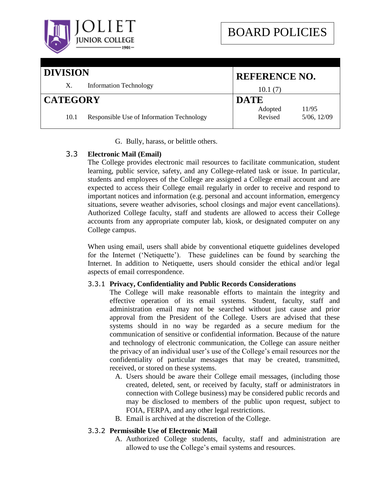

| <b>DIVISION</b> |                                           | <b>REFERENCE NO.</b> |                      |
|-----------------|-------------------------------------------|----------------------|----------------------|
| X.              | <b>Information Technology</b>             | 10.1(7)              |                      |
| <b>CATEGORY</b> |                                           | <b>DATE</b>          |                      |
| 10.1            | Responsible Use of Information Technology | Adopted<br>Revised   | 11/95<br>5/06, 12/09 |

G. Bully, harass, or belittle others.

# 3.3 **Electronic Mail (Email)**

The College provides electronic mail resources to facilitate communication, student learning, public service, safety, and any College-related task or issue. In particular, students and employees of the College are assigned a College email account and are expected to access their College email regularly in order to receive and respond to important notices and information (e.g. personal and account information, emergency situations, severe weather advisories, school closings and major event cancellations). Authorized College faculty, staff and students are allowed to access their College accounts from any appropriate computer lab, kiosk, or designated computer on any College campus.

When using email, users shall abide by conventional etiquette guidelines developed for the Internet ("Netiquette"). These guidelines can be found by searching the Internet. In addition to Netiquette, users should consider the ethical and/or legal aspects of email correspondence.

# 3.3.1 **Privacy, Confidentiality and Public Records Considerations**

The College will make reasonable efforts to maintain the integrity and effective operation of its email systems. Student, faculty, staff and administration email may not be searched without just cause and prior approval from the President of the College. Users are advised that these systems should in no way be regarded as a secure medium for the communication of sensitive or confidential information. Because of the nature and technology of electronic communication, the College can assure neither the privacy of an individual user"s use of the College"s email resources nor the confidentiality of particular messages that may be created, transmitted, received, or stored on these systems.

- A. Users should be aware their College email messages, (including those created, deleted, sent, or received by faculty, staff or administrators in connection with College business) may be considered public records and may be disclosed to members of the public upon request, subject to FOIA, FERPA, and any other legal restrictions.
- B. Email is archived at the discretion of the College.

# 3.3.2 **Permissible Use of Electronic Mail**

A. Authorized College students, faculty, staff and administration are allowed to use the College"s email systems and resources.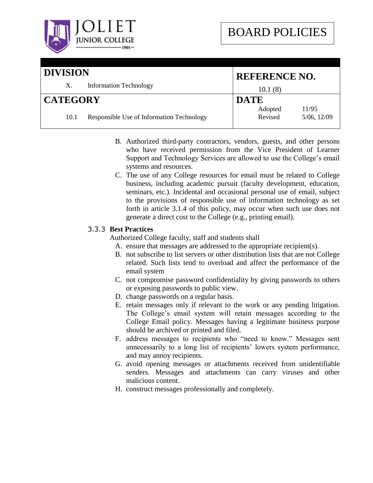

| <b>DIVISION</b> |                                           |                    | <b>REFERENCE NO.</b> |  |
|-----------------|-------------------------------------------|--------------------|----------------------|--|
| Χ.              | <b>Information Technology</b>             | 10.1(8)            |                      |  |
| <b>CATEGORY</b> |                                           | <b>DATE</b>        |                      |  |
| 10.1            | Responsible Use of Information Technology | Adopted<br>Revised | 11/95<br>5/06, 12/09 |  |

- B. Authorized third-party contractors, vendors, guests, and other persons who have received permission from the Vice President of Learner Support and Technology Services are allowed to use the College"s email systems and resources.
- C. The use of any College resources for email must be related to College business, including academic pursuit (faculty development, education, seminars, etc.). Incidental and occasional personal use of email, subject to the provisions of responsible use of information technology as set forth in article 3.1.4 of this policy, may occur when such use does not generate a direct cost to the College (e.g., printing email).

# 3.3.3 **Best Practices**

Authorized College faculty, staff and students shall

- A. ensure that messages are addressed to the appropriate recipient(s).
- B. not subscribe to list servers or other distribution lists that are not College related. Such lists tend to overload and affect the performance of the email system
- C. not compromise password confidentiality by giving passwords to others or exposing passwords to public view.
- D. change passwords on a regular basis.
- E. retain messages only if relevant to the work or any pending litigation. The College's email system will retain messages according to the College Email policy. Messages having a legitimate business purpose should be archived or printed and filed.
- F. address messages to recipients who "need to know." Messages sent unnecessarily to a long list of recipients' lowers system performance, and may annoy recipients.
- G. avoid opening messages or attachments received from unidentifiable senders. Messages and attachments can carry viruses and other malicious content.
- H. construct messages professionally and completely.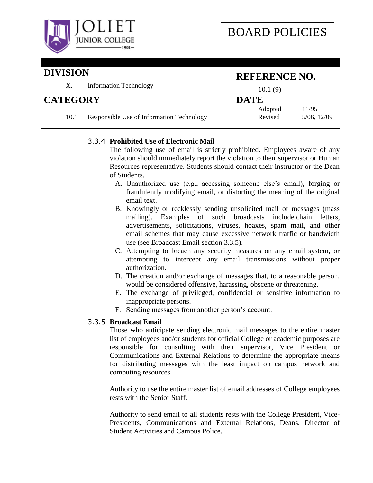

# **DIVISION** X. Information Technology **REFERENCE NO.** 10.1 (9) **CATEGORY** 10.1 Responsible Use of Information Technology **DATE** Adopted 11/95 Revised 5/06, 12/09

# 3.3.4 **Prohibited Use of Electronic Mail**

The following use of email is strictly prohibited. Employees aware of any violation should immediately report the violation to their supervisor or Human Resources representative. Students should contact their instructor or the Dean of Students.

- A. Unauthorized use (e.g., accessing someone else"s email), forging or fraudulently modifying email, or distorting the meaning of the original email text.
- B. Knowingly or recklessly sending unsolicited mail or messages (mass mailing). Examples of such broadcasts include chain letters, advertisements, solicitations, viruses, hoaxes, spam mail, and other email schemes that may cause excessive network traffic or bandwidth use (see Broadcast Email section 3.3.5).
- C. Attempting to breach any security measures on any email system, or attempting to intercept any email transmissions without proper authorization.
- D. The creation and/or exchange of messages that, to a reasonable person, would be considered offensive, harassing, obscene or threatening.
- E. The exchange of privileged, confidential or sensitive information to inappropriate persons.
- F. Sending messages from another person's account.

# 3.3.5 **Broadcast Email**

Those who anticipate sending electronic mail messages to the entire master list of employees and/or students for official College or academic purposes are responsible for consulting with their supervisor, Vice President or Communications and External Relations to determine the appropriate means for distributing messages with the least impact on campus network and computing resources.

Authority to use the entire master list of email addresses of College employees rests with the Senior Staff.

Authority to send email to all students rests with the College President, Vice-Presidents, Communications and External Relations, Deans, Director of Student Activities and Campus Police.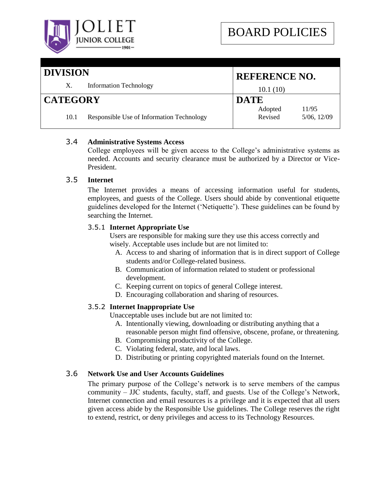

# **DIVISION**

| DIVISION        |      |                                           | <b>REFERENCE NO.</b>                       |  |
|-----------------|------|-------------------------------------------|--------------------------------------------|--|
|                 | X.   | <b>Information Technology</b>             | 10.1(10)                                   |  |
| <b>CATEGORY</b> |      |                                           | <b>DATE</b>                                |  |
|                 | 10.1 | Responsible Use of Information Technology | 11/95<br>Adopted<br>Revised<br>5/06, 12/09 |  |

# 3.4 **Administrative Systems Access**

College employees will be given access to the College"s administrative systems as needed. Accounts and security clearance must be authorized by a Director or Vice-President.

# 3.5 **Internet**

The Internet provides a means of accessing information useful for students, employees, and guests of the College. Users should abide by conventional etiquette guidelines developed for the Internet ("Netiquette"). These guidelines can be found by searching the Internet.

# 3.5.1 **Internet Appropriate Use**

Users are responsible for making sure they use this access correctly and wisely. Acceptable uses include but are not limited to:

- A. Access to and sharing of information that is in direct support of College students and/or College-related business.
- B. Communication of information related to student or professional development.
- C. Keeping current on topics of general College interest.
- D. Encouraging collaboration and sharing of resources.

# 3.5.2 **Internet Inappropriate Use**

Unacceptable uses include but are not limited to:

- A. Intentionally viewing, downloading or distributing anything that a reasonable person might find offensive, obscene, profane, or threatening.
- B. Compromising productivity of the College.
- C. Violating federal, state, and local laws.
- D. Distributing or printing copyrighted materials found on the Internet.

# 3.6 **Network Use and User Accounts Guidelines**

The primary purpose of the College's network is to serve members of the campus community – JJC students, faculty, staff, and guests. Use of the College's Network, Internet connection and email resources is a privilege and it is expected that all users given access abide by the Responsible Use guidelines. The College reserves the right to extend, restrict, or deny privileges and access to its Technology Resources.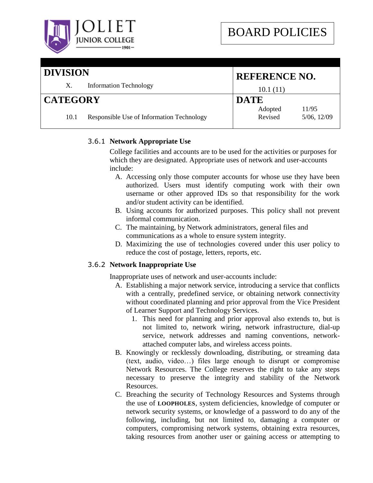

### **DIVISION** X. Information Technology **REFERENCE NO.** 10.1 (11) **CATEGORY** 10.1 Responsible Use of Information Technology **DATE** Adopted 11/95 Revised 5/06, 12/09

# 3.6.1 **Network Appropriate Use**

College facilities and accounts are to be used for the activities or purposes for which they are designated. Appropriate uses of network and user-accounts include:

- A. Accessing only those computer accounts for whose use they have been authorized. Users must identify computing work with their own username or other approved IDs so that responsibility for the work and/or student activity can be identified.
- B. Using accounts for authorized purposes. This policy shall not prevent informal communication.
- C. The maintaining, by Network administrators, general files and communications as a whole to ensure system integrity.
- D. Maximizing the use of technologies covered under this user policy to reduce the cost of postage, letters, reports, etc.

# 3.6.2 **Network Inappropriate Use**

Inappropriate uses of network and user-accounts include:

- A. Establishing a major network service, introducing a service that conflicts with a centrally, predefined service, or obtaining network connectivity without coordinated planning and prior approval from the Vice President of Learner Support and Technology Services.
	- 1. This need for planning and prior approval also extends to, but is not limited to, network wiring, network infrastructure, dial-up service, network addresses and naming conventions, networkattached computer labs, and wireless access points.
- B. Knowingly or recklessly downloading, distributing, or streaming data (text, audio, video…) files large enough to disrupt or compromise Network Resources. The College reserves the right to take any steps necessary to preserve the integrity and stability of the Network Resources.
- C. Breaching the security of Technology Resources and Systems through the use of **LOOPHOLES**, system deficiencies, knowledge of computer or network security systems, or knowledge of a password to do any of the following, including, but not limited to, damaging a computer or computers, compromising network systems, obtaining extra resources, taking resources from another user or gaining access or attempting to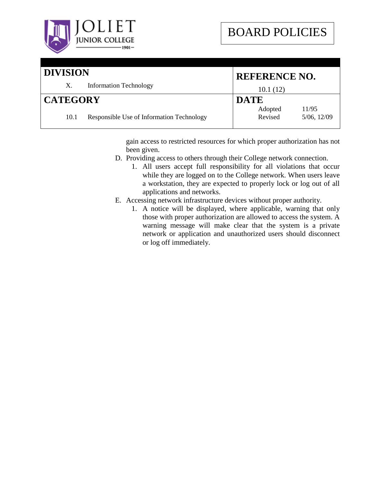

| <b>DIVISION</b> |                                           | <b>REFERENCE NO.</b> |                           |
|-----------------|-------------------------------------------|----------------------|---------------------------|
| X.              | <b>Information Technology</b>             | 10.1(12)             |                           |
| <b>CATEGORY</b> |                                           | <b>DATE</b>          |                           |
| 10.1            | Responsible Use of Information Technology | Adopted<br>Revised   | 11/95<br>$5/06$ , $12/09$ |

gain access to restricted resources for which proper authorization has not been given.

- D. Providing access to others through their College network connection.
	- 1. All users accept full responsibility for all violations that occur while they are logged on to the College network. When users leave a workstation, they are expected to properly lock or log out of all applications and networks.
- E. Accessing network infrastructure devices without proper authority.
	- 1. A notice will be displayed, where applicable, warning that only those with proper authorization are allowed to access the system. A warning message will make clear that the system is a private network or application and unauthorized users should disconnect or log off immediately.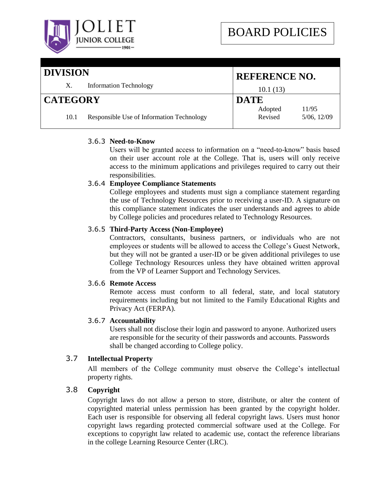

# **DIVISION**

|                 | DIVISION |                                           |                    | <b>REFERENCE NO.</b> |  |
|-----------------|----------|-------------------------------------------|--------------------|----------------------|--|
|                 | X.       | <b>Information Technology</b>             | 10.1(13)           |                      |  |
| <b>CATEGORY</b> |          | <b>DATE</b>                               |                    |                      |  |
|                 | 10.1     | Responsible Use of Information Technology | Adopted<br>Revised | 11/95<br>5/06, 12/09 |  |

# 3.6.3 **Need-to-Know**

Users will be granted access to information on a "need-to-know" basis based on their user account role at the College. That is, users will only receive access to the minimum applications and privileges required to carry out their responsibilities.

# 3.6.4 **Employee Compliance Statements**

College employees and students must sign a compliance statement regarding the use of Technology Resources prior to receiving a user-ID. A signature on this compliance statement indicates the user understands and agrees to abide by College policies and procedures related to Technology Resources.

# 3.6.5 **Third-Party Access (Non-Employee)**

Contractors, consultants, business partners, or individuals who are not employees or students will be allowed to access the College"s Guest Network, but they will not be granted a user-ID or be given additional privileges to use College Technology Resources unless they have obtained written approval from the VP of Learner Support and Technology Services.

# 3.6.6 **Remote Access**

Remote access must conform to all federal, state, and local statutory requirements including but not limited to the Family Educational Rights and Privacy Act (FERPA).

# 3.6.7 **Accountability**

Users shall not disclose their login and password to anyone. Authorized users are responsible for the security of their passwords and accounts. Passwords shall be changed according to College policy.

# 3.7 **Intellectual Property**

All members of the College community must observe the College's intellectual property rights.

# 3.8 **Copyright**

Copyright laws do not allow a person to store, distribute, or alter the content of copyrighted material unless permission has been granted by the copyright holder. Each user is responsible for observing all federal copyright laws. Users must honor copyright laws regarding protected commercial software used at the College. For exceptions to copyright law related to academic use, contact the reference librarians in the college Learning Resource Center (LRC).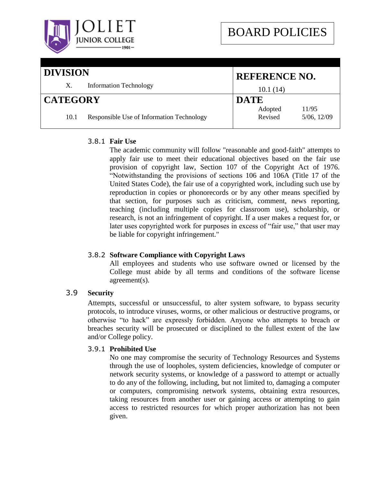

# **DIVISION** X. Information Technology **REFERENCE NO.** 10.1 (14) **CATEGORY** 10.1 Responsible Use of Information Technology **DATE** Adopted 11/95 Revised 5/06, 12/09

# 3.8.1 **Fair Use**

The academic community will follow "reasonable and good-faith" attempts to apply fair use to meet their educational objectives based on the fair use provision of copyright law, Section 107 of the Copyright Act of 1976. "Notwithstanding the provisions of sections [106](http://www4.law.cornell.edu/uscode/uscode17/usc_sec_17_00000106----000-.html) and [106A](http://www4.law.cornell.edu/uscode/uscode17/usc_sec_17_00000106---A000-.html) (Title 17 of the United States Code), the fair use of a copyrighted work, including such use by reproduction in copies or phonorecords or by any other means specified by that section, for purposes such as criticism, comment, news reporting, teaching (including multiple copies for classroom use), scholarship, or research, is not an infringement of copyright. If a user makes a request for, or later uses copyrighted work for purposes in excess of "fair use," that user may be liable for copyright infringement."

# 3.8.2 **Software Compliance with Copyright Laws**

All employees and students who use software owned or licensed by the College must abide by all terms and conditions of the software license agreement(s).

# 3.9 **Security**

Attempts, successful or unsuccessful, to alter system software, to bypass security protocols, to introduce viruses, worms, or other malicious or destructive programs, or otherwise "to hack" are expressly forbidden. Anyone who attempts to breach or breaches security will be prosecuted or disciplined to the fullest extent of the law and/or College policy.

# 3.9.1 **Prohibited Use**

No one may compromise the security of Technology Resources and Systems through the use of loopholes, system deficiencies, knowledge of computer or network security systems, or knowledge of a password to attempt or actually to do any of the following, including, but not limited to, damaging a computer or computers, compromising network systems, obtaining extra resources, taking resources from another user or gaining access or attempting to gain access to restricted resources for which proper authorization has not been given.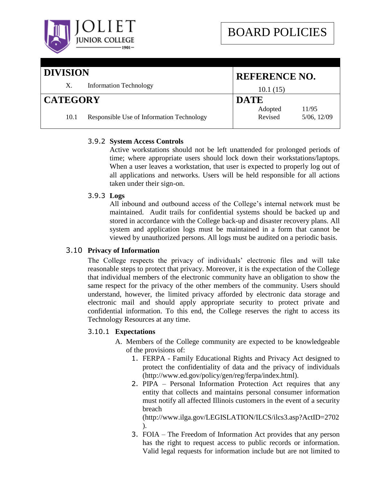

| DIVISION        |      | <b>REFERENCE NO.</b>                      |                    |                      |
|-----------------|------|-------------------------------------------|--------------------|----------------------|
|                 | X.   | <b>Information Technology</b>             | 10.1(15)           |                      |
| <b>CATEGORY</b> |      | <b>DATE</b>                               |                    |                      |
|                 | 10.1 | Responsible Use of Information Technology | Adopted<br>Revised | 11/95<br>5/06, 12/09 |

# 3.9.2 **System Access Controls**

Active workstations should not be left unattended for prolonged periods of time; where appropriate users should lock down their workstations/laptops. When a user leaves a workstation, that user is expected to properly log out of all applications and networks. Users will be held responsible for all actions taken under their sign-on.

# 3.9.3 **Logs**

All inbound and outbound access of the College"s internal network must be maintained. Audit trails for confidential systems should be backed up and stored in accordance with the College back-up and disaster recovery plans. All system and application logs must be maintained in a form that cannot be viewed by unauthorized persons. All logs must be audited on a periodic basis.

# 3.10 **Privacy of Information**

The College respects the privacy of individuals" electronic files and will take reasonable steps to protect that privacy. Moreover, it is the expectation of the College that individual members of the electronic community have an obligation to show the same respect for the privacy of the other members of the community. Users should understand, however, the limited privacy afforded by electronic data storage and electronic mail and should apply appropriate security to protect private and confidential information. To this end, the College reserves the right to access its Technology Resources at any time.

# 3.10.1 **Expectations**

- A. Members of the College community are expected to be knowledgeable of the provisions of:
	- 1. FERPA Family Educational Rights and Privacy Act designed to protect the confidentiality of data and the privacy of individuals (http://www.ed.gov/policy/gen/reg/ferpa/index.html).
	- 2. PIPA Personal Information Protection Act requires that any entity that collects and maintains personal consumer information must notify all affected Illinois customers in the event of a security breach

(http://www.ilga.gov/LEGISLATION/ILCS/ilcs3.asp?ActID=2702 ).

3. FOIA – The Freedom of Information Act provides that any person has the right to request access to public records or information. Valid legal requests for information include but are not limited to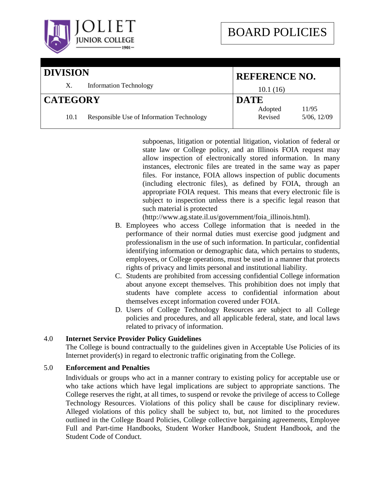

| <b>DIVISION</b><br><b>Information Technology</b><br>X.<br>10.1(16) |                                           | <b>REFERENCE NO.</b> |                      |
|--------------------------------------------------------------------|-------------------------------------------|----------------------|----------------------|
|                                                                    |                                           |                      |                      |
| <b>CATEGORY</b>                                                    |                                           | <b>DATE</b>          |                      |
| 10.1                                                               | Responsible Use of Information Technology | Adopted<br>Revised   | 11/95<br>5/06, 12/09 |

subpoenas, litigation or potential litigation, violation of federal or state law or College policy, and an Illinois FOIA request may allow inspection of electronically stored information. In many instances, electronic files are treated in the same way as paper files. For instance, FOIA allows inspection of public documents (including electronic files), as defined by FOIA, through an appropriate FOIA request. This means that every electronic file is subject to inspection unless there is a specific legal reason that such material is protected

(http://www.ag.state.il.us/government/foia\_illinois.html).

- B. Employees who access College information that is needed in the performance of their normal duties must exercise good judgment and professionalism in the use of such information. In particular, confidential identifying information or demographic data, which pertains to students, employees, or College operations, must be used in a manner that protects rights of privacy and limits personal and institutional liability.
- C. Students are prohibited from accessing confidential College information about anyone except themselves. This prohibition does not imply that students have complete access to confidential information about themselves except information covered under FOIA.
- D. Users of College Technology Resources are subject to all College policies and procedures, and all applicable federal, state, and local laws related to privacy of information.

# 4.0 **Internet Service Provider Policy Guidelines**

The College is bound contractually to the guidelines given in Acceptable Use Policies of its Internet provider(s) in regard to electronic traffic originating from the College.

# 5.0 **Enforcement and Penalties**

Individuals or groups who act in a manner contrary to existing policy for acceptable use or who take actions which have legal implications are subject to appropriate sanctions. The College reserves the right, at all times, to suspend or revoke the privilege of access to College Technology Resources. Violations of this policy shall be cause for disciplinary review. Alleged violations of this policy shall be subject to, but, not limited to the procedures outlined in the College Board Policies, College collective bargaining agreements, Employee Full and Part-time Handbooks, Student Worker Handbook, Student Handbook, and the Student Code of Conduct.